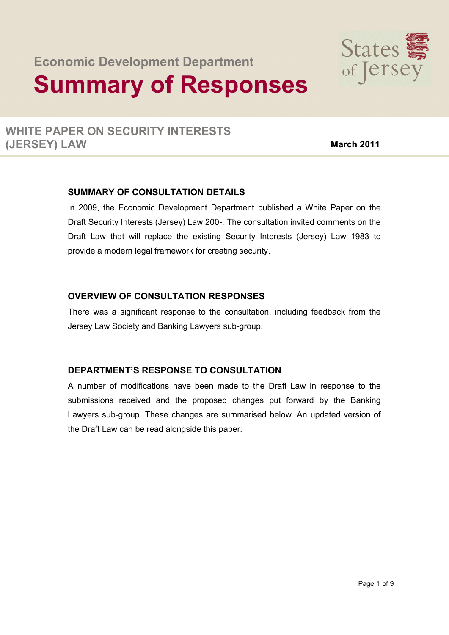# **Economic Development Department Summary of Responses**



## **WHITE PAPER ON SECURITY INTERESTS (JERSEY) LAW March 2011**

### **SUMMARY OF CONSULTATION DETAILS**

In 2009, the Economic Development Department published a White Paper on the Draft Security Interests (Jersey) Law 200-. The consultation invited comments on the Draft Law that will replace the existing Security Interests (Jersey) Law 1983 to provide a modern legal framework for creating security.

#### **OVERVIEW OF CONSULTATION RESPONSES**

There was a significant response to the consultation, including feedback from the Jersey Law Society and Banking Lawyers sub-group.

## **DEPARTMENT'S RESPONSE TO CONSULTATION**

A number of modifications have been made to the Draft Law in response to the submissions received and the proposed changes put forward by the Banking Lawyers sub-group. These changes are summarised below. An updated version of the Draft Law can be read alongside this paper.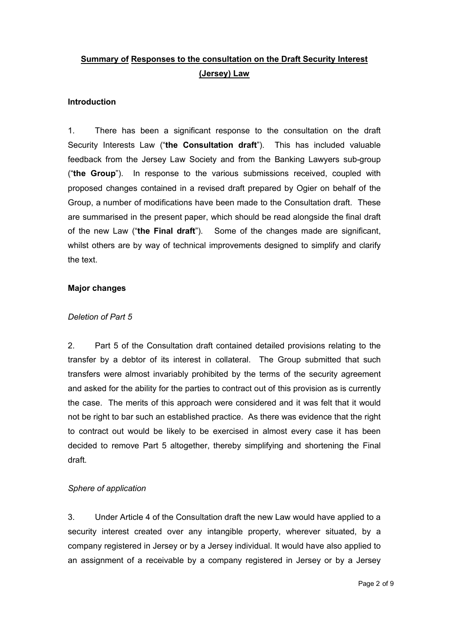## **Summary of Responses to the consultation on the Draft Security Interest (Jersey) Law**

#### **Introduction**

1. There has been a significant response to the consultation on the draft Security Interests Law ("**the Consultation draft**"). This has included valuable feedback from the Jersey Law Society and from the Banking Lawyers sub-group ("**the Group**"). In response to the various submissions received, coupled with proposed changes contained in a revised draft prepared by Ogier on behalf of the Group, a number of modifications have been made to the Consultation draft. These are summarised in the present paper, which should be read alongside the final draft of the new Law ("**the Final draft**"). Some of the changes made are significant, whilst others are by way of technical improvements designed to simplify and clarify the text.

#### **Major changes**

#### *Deletion of Part 5*

2. Part 5 of the Consultation draft contained detailed provisions relating to the transfer by a debtor of its interest in collateral. The Group submitted that such transfers were almost invariably prohibited by the terms of the security agreement and asked for the ability for the parties to contract out of this provision as is currently the case. The merits of this approach were considered and it was felt that it would not be right to bar such an established practice. As there was evidence that the right to contract out would be likely to be exercised in almost every case it has been decided to remove Part 5 altogether, thereby simplifying and shortening the Final draft.

#### *Sphere of application*

3. Under Article 4 of the Consultation draft the new Law would have applied to a security interest created over any intangible property, wherever situated, by a company registered in Jersey or by a Jersey individual. It would have also applied to an assignment of a receivable by a company registered in Jersey or by a Jersey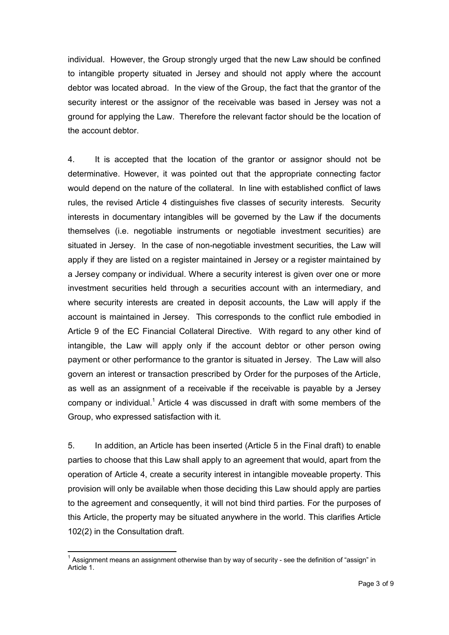individual. However, the Group strongly urged that the new Law should be confined to intangible property situated in Jersey and should not apply where the account debtor was located abroad. In the view of the Group, the fact that the grantor of the security interest or the assignor of the receivable was based in Jersey was not a ground for applying the Law. Therefore the relevant factor should be the location of the account debtor.

4. It is accepted that the location of the grantor or assignor should not be determinative. However, it was pointed out that the appropriate connecting factor would depend on the nature of the collateral. In line with established conflict of laws rules, the revised Article 4 distinguishes five classes of security interests. Security interests in documentary intangibles will be governed by the Law if the documents themselves (i.e. negotiable instruments or negotiable investment securities) are situated in Jersey. In the case of non-negotiable investment securities, the Law will apply if they are listed on a register maintained in Jersey or a register maintained by a Jersey company or individual. Where a security interest is given over one or more investment securities held through a securities account with an intermediary, and where security interests are created in deposit accounts, the Law will apply if the account is maintained in Jersey. This corresponds to the conflict rule embodied in Article 9 of the EC Financial Collateral Directive. With regard to any other kind of intangible, the Law will apply only if the account debtor or other person owing payment or other performance to the grantor is situated in Jersey. The Law will also govern an interest or transaction prescribed by Order for the purposes of the Article, as well as an assignment of a receivable if the receivable is payable by a Jersey company or individual.<sup>1</sup> Article 4 was discussed in draft with some members of the Group, who expressed satisfaction with it.

5. In addition, an Article has been inserted (Article 5 in the Final draft) to enable parties to choose that this Law shall apply to an agreement that would, apart from the operation of Article 4, create a security interest in intangible moveable property. This provision will only be available when those deciding this Law should apply are parties to the agreement and consequently, it will not bind third parties. For the purposes of this Article, the property may be situated anywhere in the world. This clarifies Article 102(2) in the Consultation draft.

 $\frac{1}{2}$  $^1$  Assignment means an assignment otherwise than by way of security - see the definition of "assign" in Article 1.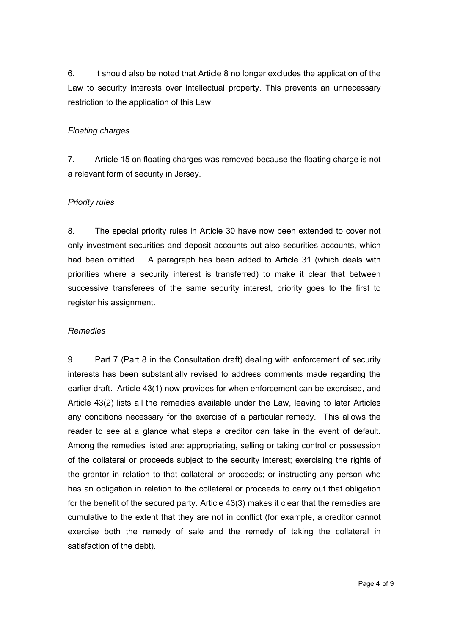6. It should also be noted that Article 8 no longer excludes the application of the Law to security interests over intellectual property. This prevents an unnecessary restriction to the application of this Law.

#### *Floating charges*

7. Article 15 on floating charges was removed because the floating charge is not a relevant form of security in Jersey.

#### *Priority rules*

8. The special priority rules in Article 30 have now been extended to cover not only investment securities and deposit accounts but also securities accounts, which had been omitted. A paragraph has been added to Article 31 (which deals with priorities where a security interest is transferred) to make it clear that between successive transferees of the same security interest, priority goes to the first to register his assignment.

#### *Remedies*

9. Part 7 (Part 8 in the Consultation draft) dealing with enforcement of security interests has been substantially revised to address comments made regarding the earlier draft. Article 43(1) now provides for when enforcement can be exercised, and Article 43(2) lists all the remedies available under the Law, leaving to later Articles any conditions necessary for the exercise of a particular remedy. This allows the reader to see at a glance what steps a creditor can take in the event of default. Among the remedies listed are: appropriating, selling or taking control or possession of the collateral or proceeds subject to the security interest; exercising the rights of the grantor in relation to that collateral or proceeds; or instructing any person who has an obligation in relation to the collateral or proceeds to carry out that obligation for the benefit of the secured party. Article 43(3) makes it clear that the remedies are cumulative to the extent that they are not in conflict (for example, a creditor cannot exercise both the remedy of sale and the remedy of taking the collateral in satisfaction of the debt).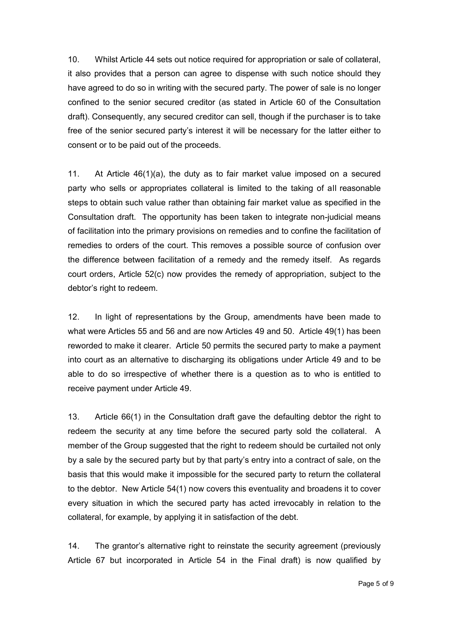10. Whilst Article 44 sets out notice required for appropriation or sale of collateral, it also provides that a person can agree to dispense with such notice should they have agreed to do so in writing with the secured party. The power of sale is no longer confined to the senior secured creditor (as stated in Article 60 of the Consultation draft). Consequently, any secured creditor can sell, though if the purchaser is to take free of the senior secured party's interest it will be necessary for the latter either to consent or to be paid out of the proceeds.

11. At Article 46(1)(a), the duty as to fair market value imposed on a secured party who sells or appropriates collateral is limited to the taking of all reasonable steps to obtain such value rather than obtaining fair market value as specified in the Consultation draft. The opportunity has been taken to integrate non-judicial means of facilitation into the primary provisions on remedies and to confine the facilitation of remedies to orders of the court. This removes a possible source of confusion over the difference between facilitation of a remedy and the remedy itself. As regards court orders, Article 52(c) now provides the remedy of appropriation, subject to the debtor's right to redeem.

12. In light of representations by the Group, amendments have been made to what were Articles 55 and 56 and are now Articles 49 and 50. Article 49(1) has been reworded to make it clearer. Article 50 permits the secured party to make a payment into court as an alternative to discharging its obligations under Article 49 and to be able to do so irrespective of whether there is a question as to who is entitled to receive payment under Article 49.

13. Article 66(1) in the Consultation draft gave the defaulting debtor the right to redeem the security at any time before the secured party sold the collateral. A member of the Group suggested that the right to redeem should be curtailed not only by a sale by the secured party but by that party's entry into a contract of sale, on the basis that this would make it impossible for the secured party to return the collateral to the debtor. New Article 54(1) now covers this eventuality and broadens it to cover every situation in which the secured party has acted irrevocably in relation to the collateral, for example, by applying it in satisfaction of the debt.

14. The grantor's alternative right to reinstate the security agreement (previously Article 67 but incorporated in Article 54 in the Final draft) is now qualified by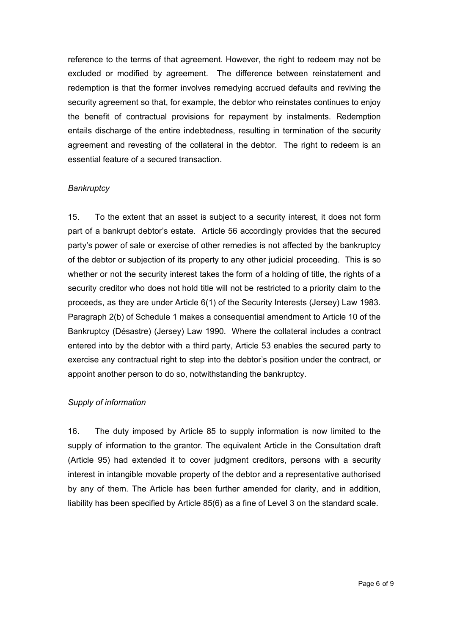reference to the terms of that agreement. However, the right to redeem may not be excluded or modified by agreement. The difference between reinstatement and redemption is that the former involves remedying accrued defaults and reviving the security agreement so that, for example, the debtor who reinstates continues to enjoy the benefit of contractual provisions for repayment by instalments. Redemption entails discharge of the entire indebtedness, resulting in termination of the security agreement and revesting of the collateral in the debtor. The right to redeem is an essential feature of a secured transaction.

#### *Bankruptcy*

15. To the extent that an asset is subject to a security interest, it does not form part of a bankrupt debtor's estate. Article 56 accordingly provides that the secured party's power of sale or exercise of other remedies is not affected by the bankruptcy of the debtor or subjection of its property to any other judicial proceeding. This is so whether or not the security interest takes the form of a holding of title, the rights of a security creditor who does not hold title will not be restricted to a priority claim to the proceeds, as they are under Article 6(1) of the Security Interests (Jersey) Law 1983. Paragraph 2(b) of Schedule 1 makes a consequential amendment to Article 10 of the Bankruptcy (Désastre) (Jersey) Law 1990. Where the collateral includes a contract entered into by the debtor with a third party, Article 53 enables the secured party to exercise any contractual right to step into the debtor's position under the contract, or appoint another person to do so, notwithstanding the bankruptcy.

#### *Supply of information*

16. The duty imposed by Article 85 to supply information is now limited to the supply of information to the grantor. The equivalent Article in the Consultation draft (Article 95) had extended it to cover judgment creditors, persons with a security interest in intangible movable property of the debtor and a representative authorised by any of them. The Article has been further amended for clarity, and in addition, liability has been specified by Article 85(6) as a fine of Level 3 on the standard scale.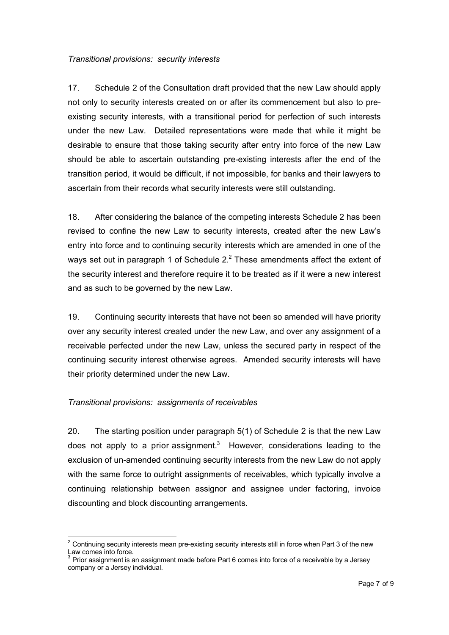#### *Transitional provisions: security interests*

17. Schedule 2 of the Consultation draft provided that the new Law should apply not only to security interests created on or after its commencement but also to preexisting security interests, with a transitional period for perfection of such interests under the new Law. Detailed representations were made that while it might be desirable to ensure that those taking security after entry into force of the new Law should be able to ascertain outstanding pre-existing interests after the end of the transition period, it would be difficult, if not impossible, for banks and their lawyers to ascertain from their records what security interests were still outstanding.

18. After considering the balance of the competing interests Schedule 2 has been revised to confine the new Law to security interests, created after the new Law's entry into force and to continuing security interests which are amended in one of the ways set out in paragraph 1 of Schedule  $2<sup>2</sup>$  These amendments affect the extent of the security interest and therefore require it to be treated as if it were a new interest and as such to be governed by the new Law.

19. Continuing security interests that have not been so amended will have priority over any security interest created under the new Law, and over any assignment of a receivable perfected under the new Law, unless the secured party in respect of the continuing security interest otherwise agrees. Amended security interests will have their priority determined under the new Law.

#### *Transitional provisions: assignments of receivables*

 $\overline{a}$ 

20. The starting position under paragraph 5(1) of Schedule 2 is that the new Law does not apply to a prior assignment.<sup>3</sup> However, considerations leading to the exclusion of un-amended continuing security interests from the new Law do not apply with the same force to outright assignments of receivables, which typically involve a continuing relationship between assignor and assignee under factoring, invoice discounting and block discounting arrangements.

 $2$  Continuing security interests mean pre-existing security interests still in force when Part 3 of the new Law comes into force.

 $3$  Prior assignment is an assignment made before Part 6 comes into force of a receivable by a Jersey company or a Jersey individual.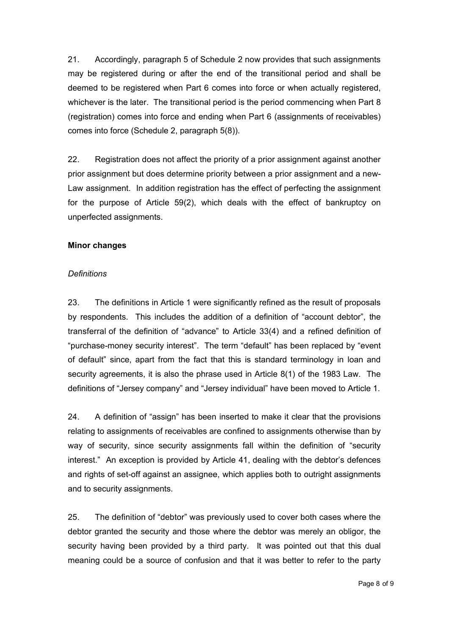21. Accordingly, paragraph 5 of Schedule 2 now provides that such assignments may be registered during or after the end of the transitional period and shall be deemed to be registered when Part 6 comes into force or when actually registered, whichever is the later. The transitional period is the period commencing when Part 8 (registration) comes into force and ending when Part 6 (assignments of receivables) comes into force (Schedule 2, paragraph 5(8)).

22. Registration does not affect the priority of a prior assignment against another prior assignment but does determine priority between a prior assignment and a new-Law assignment. In addition registration has the effect of perfecting the assignment for the purpose of Article 59(2), which deals with the effect of bankruptcy on unperfected assignments.

#### **Minor changes**

#### *Definitions*

23. The definitions in Article 1 were significantly refined as the result of proposals by respondents. This includes the addition of a definition of "account debtor", the transferral of the definition of "advance" to Article 33(4) and a refined definition of "purchase-money security interest". The term "default" has been replaced by "event of default" since, apart from the fact that this is standard terminology in loan and security agreements, it is also the phrase used in Article 8(1) of the 1983 Law. The definitions of "Jersey company" and "Jersey individual" have been moved to Article 1.

24. A definition of "assign" has been inserted to make it clear that the provisions relating to assignments of receivables are confined to assignments otherwise than by way of security, since security assignments fall within the definition of "security interest." An exception is provided by Article 41, dealing with the debtor's defences and rights of set-off against an assignee, which applies both to outright assignments and to security assignments.

25. The definition of "debtor" was previously used to cover both cases where the debtor granted the security and those where the debtor was merely an obligor, the security having been provided by a third party. It was pointed out that this dual meaning could be a source of confusion and that it was better to refer to the party